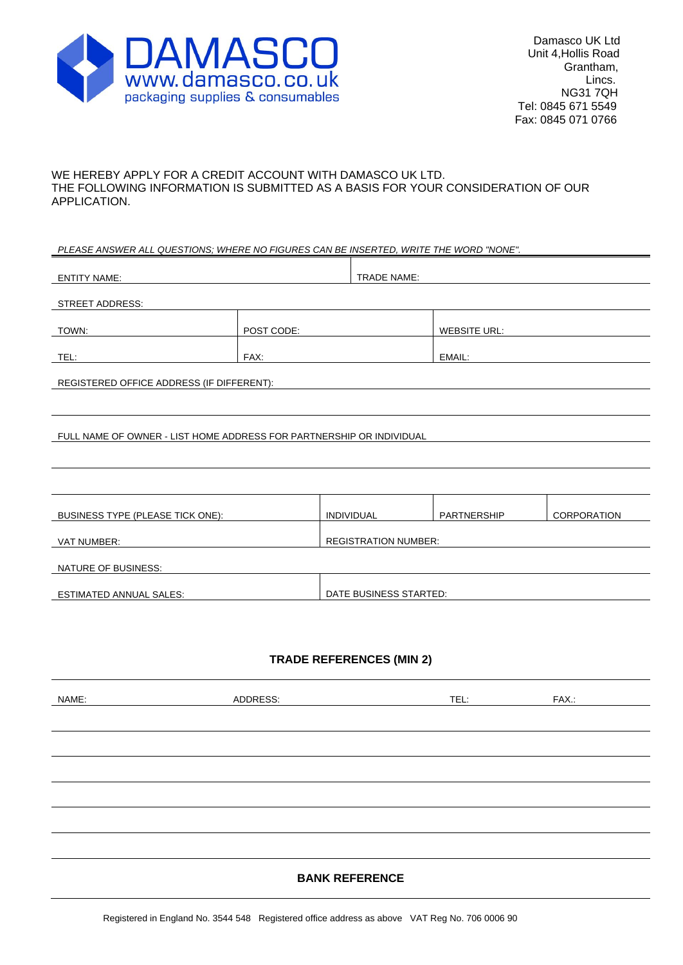

### WE HEREBY APPLY FOR A CREDIT ACCOUNT WITH DAMASCO UK LTD. THE FOLLOWING INFORMATION IS SUBMITTED AS A BASIS FOR YOUR CONSIDERATION OF OUR APPLICATION.

#### *PLEASE ANSWER ALL QUESTIONS; WHERE NO FIGURES CAN BE INSERTED, WRITE THE WORD "NONE".*

| <b>ENTITY NAME:</b>                                                  |                        | <b>TRADE NAME:</b>          |                     |             |  |
|----------------------------------------------------------------------|------------------------|-----------------------------|---------------------|-------------|--|
|                                                                      |                        |                             |                     |             |  |
| <b>STREET ADDRESS:</b>                                               |                        |                             |                     |             |  |
| TOWN:                                                                | POST CODE:             |                             | <b>WEBSITE URL:</b> |             |  |
| TEL:                                                                 | FAX:                   |                             | EMAIL:              |             |  |
|                                                                      |                        |                             |                     |             |  |
| REGISTERED OFFICE ADDRESS (IF DIFFERENT):                            |                        |                             |                     |             |  |
|                                                                      |                        |                             |                     |             |  |
| FULL NAME OF OWNER - LIST HOME ADDRESS FOR PARTNERSHIP OR INDIVIDUAL |                        |                             |                     |             |  |
|                                                                      |                        |                             |                     |             |  |
|                                                                      |                        |                             |                     |             |  |
|                                                                      |                        |                             |                     |             |  |
| BUSINESS TYPE (PLEASE TICK ONE):                                     |                        | <b>INDIVIDUAL</b>           | <b>PARTNERSHIP</b>  | CORPORATION |  |
|                                                                      |                        |                             |                     |             |  |
| VAT NUMBER:                                                          |                        | <b>REGISTRATION NUMBER:</b> |                     |             |  |
| NATURE OF BUSINESS:                                                  |                        |                             |                     |             |  |
|                                                                      |                        |                             |                     |             |  |
| <b>ESTIMATED ANNUAL SALES:</b>                                       | DATE BUSINESS STARTED: |                             |                     |             |  |
|                                                                      |                        |                             |                     |             |  |

# **TRADE REFERENCES (MIN 2)**

| NAME: | ADDRESS: | TEL: | FAX.: |
|-------|----------|------|-------|
|       |          |      |       |
|       |          |      |       |
|       |          |      |       |
|       |          |      |       |
|       |          |      |       |
|       |          |      |       |
|       |          |      |       |
|       |          |      |       |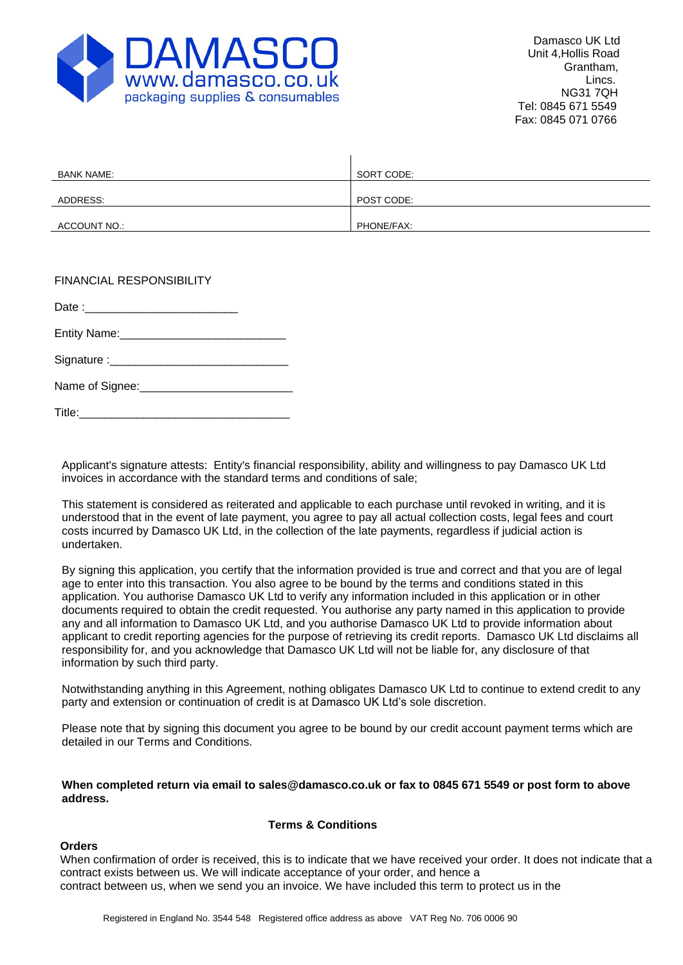

| <b>BANK NAME:</b> | SORT CODE: |
|-------------------|------------|
|                   |            |
| ADDRESS:          | POST CODE: |
|                   |            |
| ACCOUNT NO.:      | PHONE/FAX: |

Date :

Entity Name:

Signature :

Name of Signee:

Title:

Applicant's signature attests: Entity's financial responsibility, ability and willingness to pay Damasco UK Ltd invoices in accordance with the standard terms and conditions of sale;

This statement is considered as reiterated and applicable to each purchase until revoked in writing, and it is understood that in the event of late payment, you agree to pay all actual collection costs, legal fees and court costs incurred by Damasco UK Ltd, in the collection of the late payments, regardless if judicial action is undertaken.

By signing this application, you certify that the information provided is true and correct and that you are of legal age to enter into this transaction. You also agree to be bound by the terms and conditions stated in this application. You authorise Damasco UK Ltd to verify any information included in this application or in other documents required to obtain the credit requested. You authorise any party named in this application to provide any and all information to Damasco UK Ltd, and you authorise Damasco UK Ltd to provide information about applicant to credit reporting agencies for the purpose of retrieving its credit reports. Damasco UK Ltd disclaims all responsibility for, and you acknowledge that Damasco UK Ltd will not be liable for, any disclosure of that information by such third party.

Notwithstanding anything in this Agreement, nothing obligates Damasco UK Ltd to continue to extend credit to any party and extension or continuation of credit is at Damasco UK Ltd's sole discretion.

Please note that by signing this document you agree to be bound by our credit account payment terms which are detailed in our Terms and Conditions.

**When completed return via email to [sales@damasco.co.uk](mailto:sales@damasco.co.uk) or fax to 0845 671 5549 or post form to above address.**

#### **Terms & Conditions**

# **Orders**

When confirmation of order is received, this is to indicate that we have received your order. It does not indicate that a contract exists between us. We will indicate acceptance of your order, and hence a contract between us, when we send you an invoice. We have included this term to protect us in the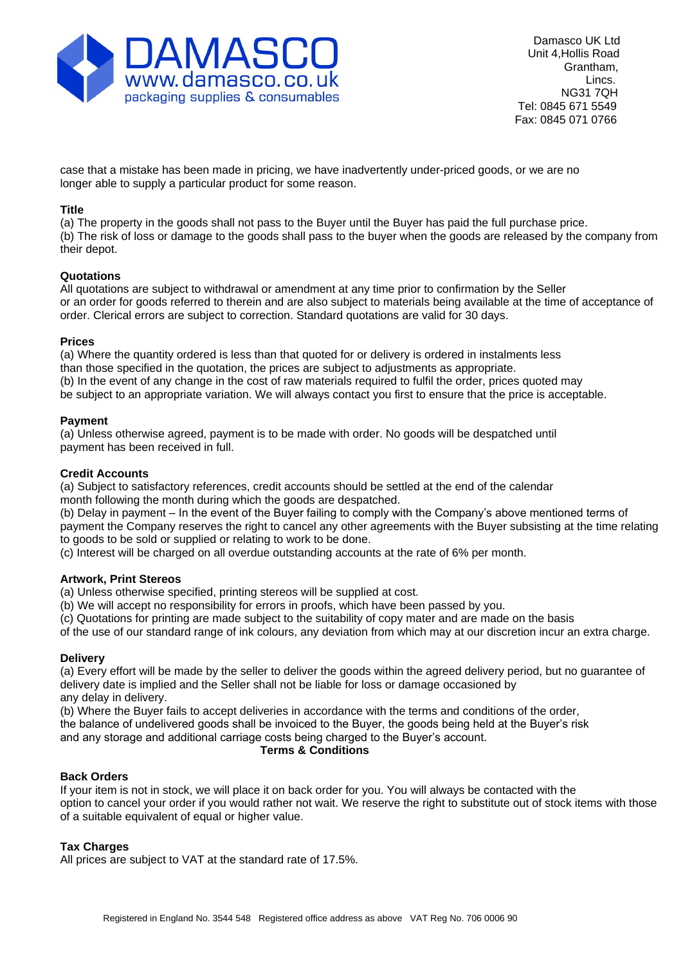

case that a mistake has been made in pricing, we have inadvertently under-priced goods, or we are no longer able to supply a particular product for some reason.

### **Title**

(a) The property in the goods shall not pass to the Buyer until the Buyer has paid the full purchase price. (b) The risk of loss or damage to the goods shall pass to the buyer when the goods are released by the company from their depot.

### **Quotations**

All quotations are subject to withdrawal or amendment at any time prior to confirmation by the Seller or an order for goods referred to therein and are also subject to materials being available at the time of acceptance of order. Clerical errors are subject to correction. Standard quotations are valid for 30 days.

### **Prices**

(a) Where the quantity ordered is less than that quoted for or delivery is ordered in instalments less than those specified in the quotation, the prices are subject to adjustments as appropriate. (b) In the event of any change in the cost of raw materials required to fulfil the order, prices quoted may be subject to an appropriate variation. We will always contact you first to ensure that the price is acceptable.

# **Payment**

(a) Unless otherwise agreed, payment is to be made with order. No goods will be despatched until payment has been received in full.

### **Credit Accounts**

(a) Subject to satisfactory references, credit accounts should be settled at the end of the calendar month following the month during which the goods are despatched.

(b) Delay in payment – In the event of the Buyer failing to comply with the Company's above mentioned terms of payment the Company reserves the right to cancel any other agreements with the Buyer subsisting at the time relating to goods to be sold or supplied or relating to work to be done.

(c) Interest will be charged on all overdue outstanding accounts at the rate of 6% per month.

# **Artwork, Print Stereos**

(a) Unless otherwise specified, printing stereos will be supplied at cost.

(b) We will accept no responsibility for errors in proofs, which have been passed by you.

(c) Quotations for printing are made subject to the suitability of copy mater and are made on the basis

of the use of our standard range of ink colours, any deviation from which may at our discretion incur an extra charge.

#### **Delivery**

(a) Every effort will be made by the seller to deliver the goods within the agreed delivery period, but no guarantee of delivery date is implied and the Seller shall not be liable for loss or damage occasioned by any delay in delivery.

(b) Where the Buyer fails to accept deliveries in accordance with the terms and conditions of the order,

the balance of undelivered goods shall be invoiced to the Buyer, the goods being held at the Buyer's risk

and any storage and additional carriage costs being charged to the Buyer's account.

#### **Terms & Conditions**

# **Back Orders**

If your item is not in stock, we will place it on back order for you. You will always be contacted with the option to cancel your order if you would rather not wait. We reserve the right to substitute out of stock items with those of a suitable equivalent of equal or higher value.

# **Tax Charges**

All prices are subject to VAT at the standard rate of 17.5%.